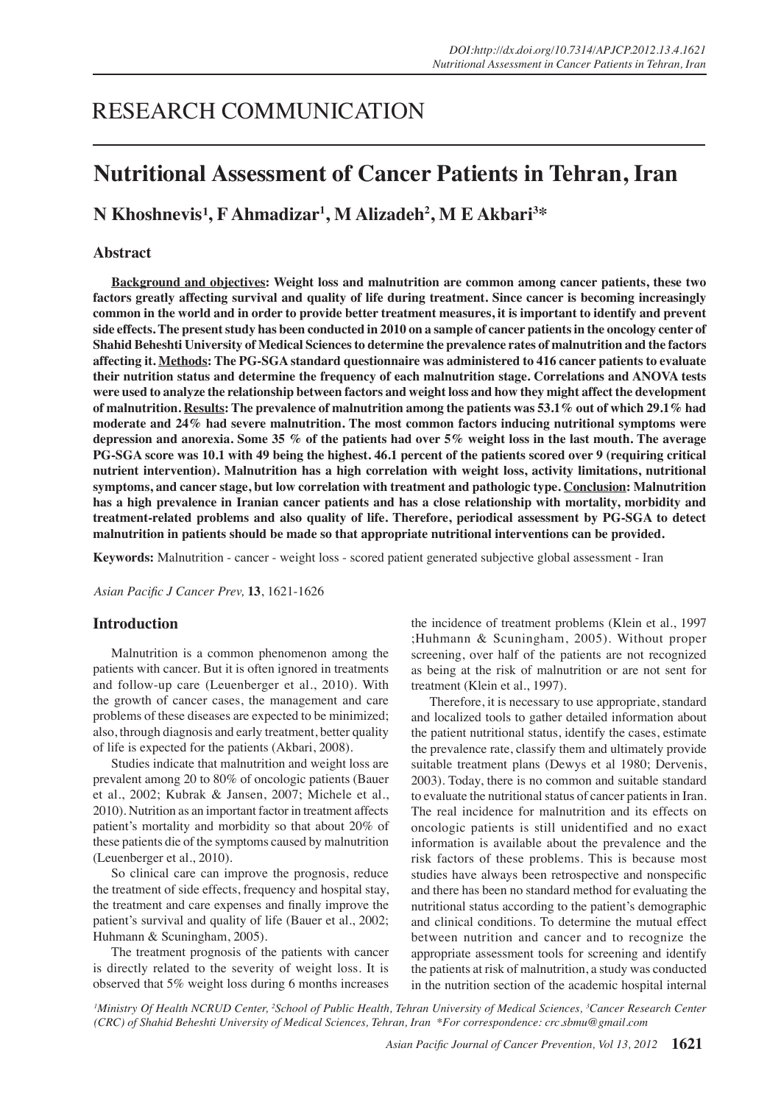# RESEARCH COMMUNICATION

# **Nutritional Assessment of Cancer Patients in Tehran, Iran**

 $\mathbf N$  Khoshnevis<sup>1</sup>, F Ahmadizar<sup>1</sup>, M Alizadeh<sup>2</sup>, M E Akbari<sup>3\*</sup>

## **Abstract**

**Background and objectives: Weight loss and malnutrition are common among cancer patients, these two factors greatly affecting survival and quality of life during treatment. Since cancer is becoming increasingly common in the world and in order to provide better treatment measures, it is important to identify and prevent side effects. The present study has been conducted in 2010 on a sample of cancer patients in the oncology center of Shahid Beheshti University of Medical Sciences to determine the prevalence rates of malnutrition and the factors affecting it. Methods: The PG-SGA standard questionnaire was administered to 416 cancer patients to evaluate their nutrition status and determine the frequency of each malnutrition stage. Correlations and ANOVA tests were used to analyze the relationship between factors and weight loss and how they might affect the development of malnutrition. Results: The prevalence of malnutrition among the patients was 53.1% out of which 29.1% had moderate and 24% had severe malnutrition. The most common factors inducing nutritional symptoms were depression and anorexia. Some 35 % of the patients had over 5% weight loss in the last mouth. The average PG-SGA score was 10.1 with 49 being the highest. 46.1 percent of the patients scored over 9 (requiring critical nutrient intervention). Malnutrition has a high correlation with weight loss, activity limitations, nutritional symptoms, and cancer stage, but low correlation with treatment and pathologic type. Conclusion: Malnutrition has a high prevalence in Iranian cancer patients and has a close relationship with mortality, morbidity and treatment-related problems and also quality of life. Therefore, periodical assessment by PG-SGA to detect malnutrition in patients should be made so that appropriate nutritional interventions can be provided.**

**Keywords:** Malnutrition - cancer - weight loss - scored patient generated subjective global assessment - Iran

*Asian Pacific J Cancer Prev,* **13**, 1621-1626

### **Introduction**

Malnutrition is a common phenomenon among the patients with cancer. But it is often ignored in treatments and follow-up care (Leuenberger et al., 2010). With the growth of cancer cases, the management and care problems of these diseases are expected to be minimized; also, through diagnosis and early treatment, better quality of life is expected for the patients (Akbari, 2008).

Studies indicate that malnutrition and weight loss are prevalent among 20 to 80% of oncologic patients (Bauer et al., 2002; Kubrak & Jansen, 2007; Michele et al., 2010). Nutrition as an important factor in treatment affects patient's mortality and morbidity so that about 20% of these patients die of the symptoms caused by malnutrition (Leuenberger et al., 2010).

So clinical care can improve the prognosis, reduce the treatment of side effects, frequency and hospital stay, the treatment and care expenses and finally improve the patient's survival and quality of life (Bauer et al., 2002; Huhmann & Scuningham, 2005).

The treatment prognosis of the patients with cancer is directly related to the severity of weight loss. It is observed that 5% weight loss during 6 months increases the incidence of treatment problems (Klein et al., 1997 ;Huhmann & Scuningham, 2005). Without proper screening, over half of the patients are not recognized as being at the risk of malnutrition or are not sent for treatment (Klein et al., 1997).

Therefore, it is necessary to use appropriate, standard and localized tools to gather detailed information about the patient nutritional status, identify the cases, estimate the prevalence rate, classify them and ultimately provide suitable treatment plans (Dewys et al 1980; Dervenis, 2003). Today, there is no common and suitable standard to evaluate the nutritional status of cancer patients in Iran. The real incidence for malnutrition and its effects on oncologic patients is still unidentified and no exact information is available about the prevalence and the risk factors of these problems. This is because most studies have always been retrospective and nonspecific and there has been no standard method for evaluating the nutritional status according to the patient's demographic and clinical conditions. To determine the mutual effect between nutrition and cancer and to recognize the appropriate assessment tools for screening and identify the patients at risk of malnutrition, a study was conducted in the nutrition section of the academic hospital internal

*1 Ministry Of Health NCRUD Center, <sup>2</sup> School of Public Health, Tehran University of Medical Sciences, <sup>3</sup> Cancer Research Center (CRC) of Shahid Beheshti University of Medical Sciences, Tehran, Iran \*For correspondence: crc.sbmu@gmail.com*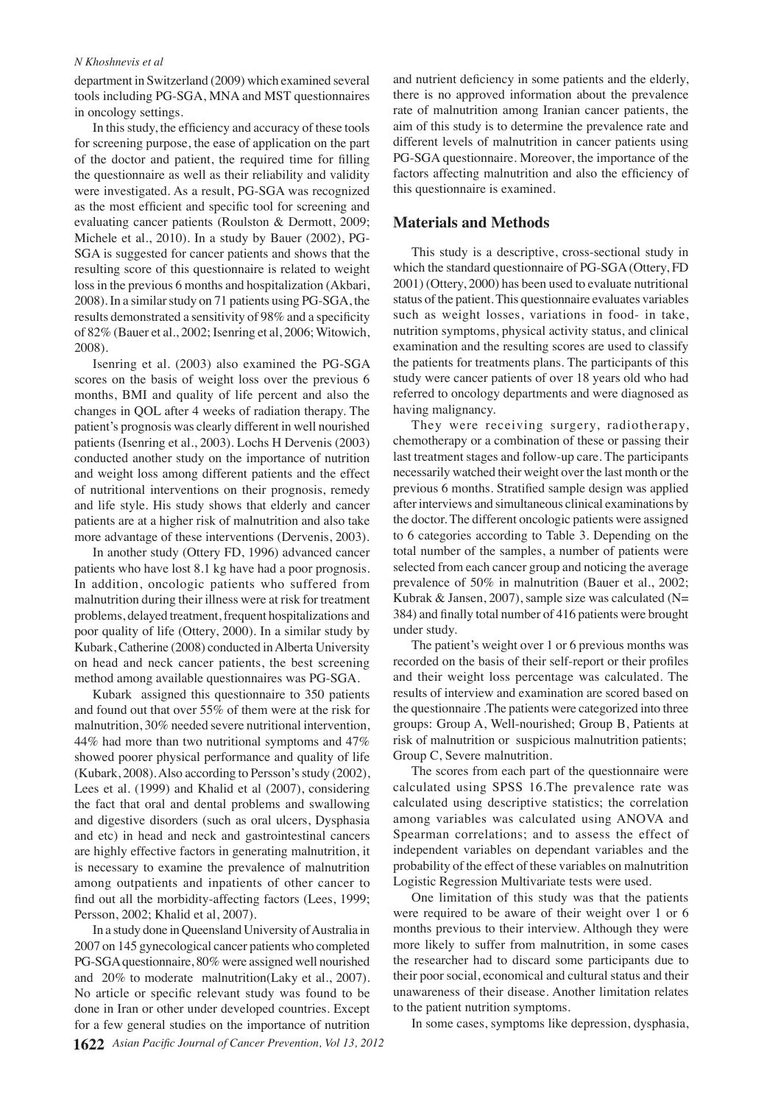#### *N Khoshnevis et al*

department in Switzerland (2009) which examined several tools including PG-SGA, MNA and MST questionnaires in oncology settings.

In this study, the efficiency and accuracy of these tools for screening purpose, the ease of application on the part of the doctor and patient, the required time for filling the questionnaire as well as their reliability and validity were investigated. As a result, PG-SGA was recognized as the most efficient and specific tool for screening and evaluating cancer patients (Roulston & Dermott, 2009; Michele et al., 2010). In a study by Bauer (2002), PG-SGA is suggested for cancer patients and shows that the resulting score of this questionnaire is related to weight loss in the previous 6 months and hospitalization (Akbari, 2008). In a similar study on 71 patients using PG-SGA, the results demonstrated a sensitivity of 98% and a specificity of 82% (Bauer et al., 2002; Isenring et al, 2006; Witowich, 2008).

Isenring et al. (2003) also examined the PG-SGA scores on the basis of weight loss over the previous 6 months, BMI and quality of life percent and also the changes in QOL after 4 weeks of radiation therapy. The patient's prognosis was clearly different in well nourished patients (Isenring et al., 2003). Lochs H Dervenis (2003) conducted another study on the importance of nutrition and weight loss among different patients and the effect of nutritional interventions on their prognosis, remedy and life style. His study shows that elderly and cancer patients are at a higher risk of malnutrition and also take more advantage of these interventions (Dervenis, 2003).

In another study (Ottery FD, 1996) advanced cancer patients who have lost 8.1 kg have had a poor prognosis. In addition, oncologic patients who suffered from malnutrition during their illness were at risk for treatment problems, delayed treatment, frequent hospitalizations and poor quality of life (Ottery, 2000). In a similar study by Kubark, Catherine (2008) conducted in Alberta University on head and neck cancer patients, the best screening method among available questionnaires was PG-SGA.

Kubark assigned this questionnaire to 350 patients and found out that over 55% of them were at the risk for malnutrition, 30% needed severe nutritional intervention, 44% had more than two nutritional symptoms and 47% showed poorer physical performance and quality of life (Kubark, 2008). Also according to Persson's study (2002), Lees et al. (1999) and Khalid et al (2007), considering the fact that oral and dental problems and swallowing and digestive disorders (such as oral ulcers, Dysphasia and etc) in head and neck and gastrointestinal cancers are highly effective factors in generating malnutrition, it is necessary to examine the prevalence of malnutrition among outpatients and inpatients of other cancer to find out all the morbidity-affecting factors (Lees, 1999; Persson, 2002; Khalid et al, 2007).

In a study done in Queensland University of Australia in 2007 on 145 gynecological cancer patients who completed PG-SGA questionnaire, 80% were assigned well nourished and 20% to moderate malnutrition(Laky et al., 2007). No article or specific relevant study was found to be done in Iran or other under developed countries. Except for a few general studies on the importance of nutrition

and nutrient deficiency in some patients and the elderly, there is no approved information about the prevalence rate of malnutrition among Iranian cancer patients, the aim of this study is to determine the prevalence rate and different levels of malnutrition in cancer patients using PG-SGA questionnaire. Moreover, the importance of the factors affecting malnutrition and also the efficiency of this questionnaire is examined.

### **Materials and Methods**

This study is a descriptive, cross-sectional study in which the standard questionnaire of PG-SGA (Ottery, FD 2001) (Ottery, 2000) has been used to evaluate nutritional status of the patient. This questionnaire evaluates variables such as weight losses, variations in food- in take, nutrition symptoms, physical activity status, and clinical examination and the resulting scores are used to classify the patients for treatments plans. The participants of this study were cancer patients of over 18 years old who had referred to oncology departments and were diagnosed as having malignancy.

They were receiving surgery, radiotherapy, chemotherapy or a combination of these or passing their last treatment stages and follow-up care. The participants necessarily watched their weight over the last month or the previous 6 months. Stratified sample design was applied after interviews and simultaneous clinical examinations by the doctor. The different oncologic patients were assigned to 6 categories according to Table 3. Depending on the total number of the samples, a number of patients were selected from each cancer group and noticing the average prevalence of 50% in malnutrition (Bauer et al., 2002; Kubrak & Jansen, 2007), sample size was calculated (N= 384) and finally total number of 416 patients were brought under study.

The patient's weight over 1 or 6 previous months was recorded on the basis of their self-report or their profiles and their weight loss percentage was calculated. The results of interview and examination are scored based on the questionnaire .The patients were categorized into three groups: Group A, Well-nourished; Group B, Patients at risk of malnutrition or suspicious malnutrition patients; Group C, Severe malnutrition.

The scores from each part of the questionnaire were calculated using SPSS 16.The prevalence rate was calculated using descriptive statistics; the correlation among variables was calculated using ANOVA and Spearman correlations; and to assess the effect of independent variables on dependant variables and the probability of the effect of these variables on malnutrition Logistic Regression Multivariate tests were used.

One limitation of this study was that the patients were required to be aware of their weight over 1 or 6 months previous to their interview. Although they were more likely to suffer from malnutrition, in some cases the researcher had to discard some participants due to their poor social, economical and cultural status and their unawareness of their disease. Another limitation relates to the patient nutrition symptoms.

In some cases, symptoms like depression, dysphasia,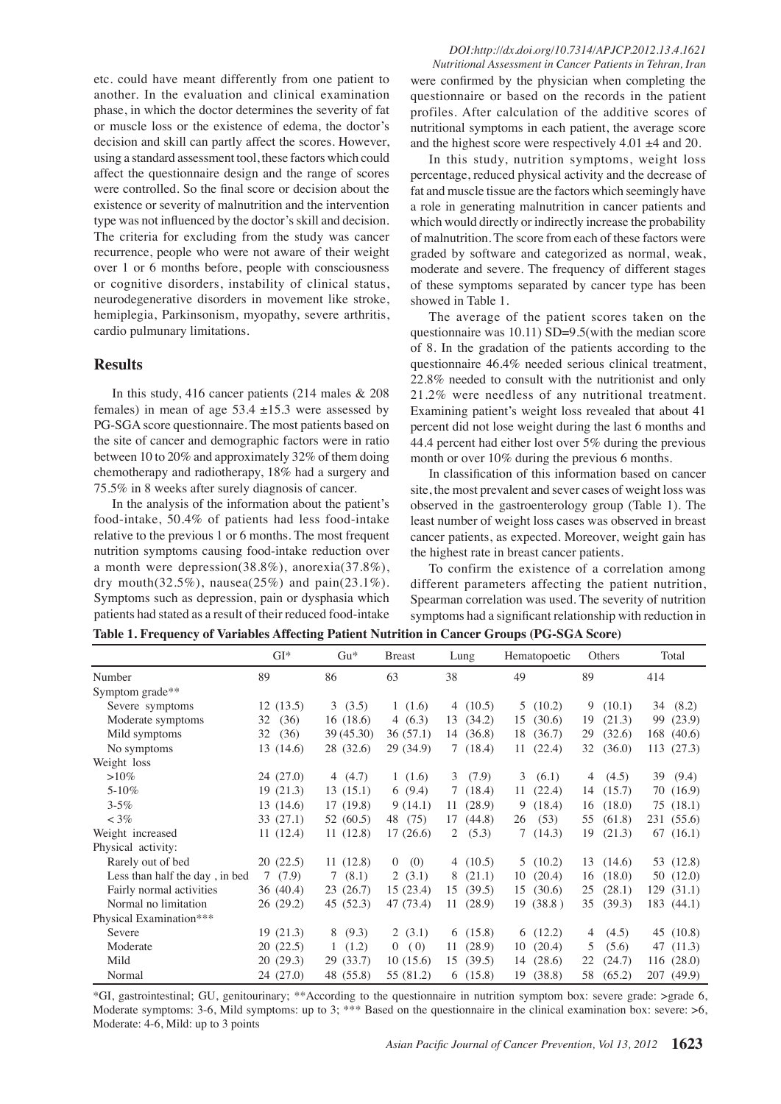etc. could have meant differently from one patient to another. In the evaluation and clinical examination phase, in which the doctor determines the severity of fat or muscle loss or the existence of edema, the doctor's decision and skill can partly affect the scores. However, using a standard assessment tool, these factors which could affect the questionnaire design and the range of scores were controlled. So the final score or decision about the existence or severity of malnutrition and the intervention type was not influenced by the doctor's skill and decision. The criteria for excluding from the study was cancer recurrence, people who were not aware of their weight over 1 or 6 months before, people with consciousness or cognitive disorders, instability of clinical status, neurodegenerative disorders in movement like stroke, hemiplegia, Parkinsonism, myopathy, severe arthritis, cardio pulmunary limitations.

## **Results**

In this study, 416 cancer patients (214 males & 208 females) in mean of age  $53.4 \pm 15.3$  were assessed by PG-SGA score questionnaire. The most patients based on the site of cancer and demographic factors were in ratio between 10 to 20% and approximately 32% of them doing chemotherapy and radiotherapy, 18% had a surgery and 75.5% in 8 weeks after surely diagnosis of cancer.

In the analysis of the information about the patient's food-intake, 50.4% of patients had less food-intake relative to the previous 1 or 6 months. The most frequent nutrition symptoms causing food-intake reduction over a month were depression(38.8%), anorexia(37.8%), dry mouth $(32.5\%)$ , nausea $(25\%)$  and pain $(23.1\%)$ . Symptoms such as depression, pain or dysphasia which patients had stated as a result of their reduced food-intake

## *DOI:http://dx.doi.org/10.7314/APJCP.2012.13.4.1621*

*Nutritional Assessment in Cancer Patients in Tehran, Iran* were confirmed by the physician when completing the questionnaire or based on the records in the patient profiles. After calculation of the additive scores of nutritional symptoms in each patient, the average score and the highest score were respectively 4.01 ±4 and 20.

In this study, nutrition symptoms, weight loss percentage, reduced physical activity and the decrease of fat and muscle tissue are the factors which seemingly have a role in generating malnutrition in cancer patients and which would directly or indirectly increase the probability of malnutrition. The score from each of these factors were graded by software and categorized as normal, weak, moderate and severe. The frequency of different stages of these symptoms separated by cancer type has been showed in Table 1.

The average of the patient scores taken on the questionnaire was 10.11) SD=9.5(with the median score of 8. In the gradation of the patients according to the questionnaire 46.4% needed serious clinical treatment, 22.8% needed to consult with the nutritionist and only 21.2% were needless of any nutritional treatment. Examining patient's weight loss revealed that about 41 percent did not lose weight during the last 6 months and 44.4 percent had either lost over 5% during the previous month or over 10% during the previous 6 months.

In classification of this information based on cancer site, the most prevalent and sever cases of weight loss was observed in the gastroenterology group (Table 1). The least number of weight loss cases was observed in breast cancer patients, as expected. Moreover, weight gain has the highest rate in breast cancer patients.

To confirm the existence of a correlation among different parameters affecting the patient nutrition, Spearman correlation was used. The severity of nutrition symptoms had a significant relationship with reduction in 100.0

| Table 1. Frequency of Variables Affecting Patient Nutrition in Cancer Groups (PG-SGA Score) |  |
|---------------------------------------------------------------------------------------------|--|
|---------------------------------------------------------------------------------------------|--|

|                                | $GI*$      | $Gu*$     | <b>Breast</b>         | Lung         | Hematopoetic | Others                  | Total        |              |
|--------------------------------|------------|-----------|-----------------------|--------------|--------------|-------------------------|--------------|--------------|
| Number                         | 89         | 86        | 63                    | 38           | 49           | 89                      | 414          | 75.0         |
| Symptom grade**                |            |           |                       |              |              |                         |              |              |
| Severe symptoms                | 12(13.5)   | 3(3.5)    | 1(1.6)                | 4 $(10.5)$   | 5(10.2)      | 9<br>(10.1)             | 34 (8.2)     |              |
| Moderate symptoms              | (36)<br>32 | 16(18.6)  | 4 $(6.3)$             | 13(34.2)     | (30.6)<br>15 | (21.3)<br>19            | 99<br>(23.9) | 50.0         |
| Mild symptoms                  | (36)<br>32 | 39(45.30) | 36(57.1)              | 14 (36.8)    | 18<br>(36.7) | (32.6)<br>29            | 168 (40.6)   |              |
| No symptoms                    | 13(14.6)   | 28 (32.6) | 29 (34.9)             | 7(18.4)      | (22.4)<br>11 | 32<br>(36.0)            | 113(27.3)    |              |
| Weight loss                    |            |           |                       |              |              |                         |              |              |
| $>10\%$                        | 24(27.0)   | 4 $(4.7)$ | 1(1.6)                | 3(7.9)       | 3<br>(6.1)   | (4.5)<br>4              | 39 (9.4)     | 25.0         |
| $5 - 10\%$                     | 19(21.3)   | 13(15.1)  | 6(9.4)                | 7(18.4)      | 11(22.4)     | 14(15.7)                | 70 (16.9)    |              |
| $3 - 5\%$                      | 13(14.6)   | 17(19.8)  | 9(14.1)               | 11(28.9)     | 9(18.4)      | (18.0)<br>16            | 75(18.1)     |              |
| $<$ 3%                         | 33 (27.1)  | 52 (60.5) | 48 (75)               | 17<br>(44.8) | (53)<br>26   | (61.8)<br>55            | 231 (55.6)   |              |
| Weight increased               | 11(12.4)   | 11(12.8)  | 17(26.6)              | 2 $(5.3)$    | 7(14.3)      | (21.3)<br>19            | 67(16.1)     | $\mathbf{0}$ |
| Physical activity:             |            |           |                       |              |              |                         |              |              |
| Rarely out of bed              | 20(22.5)   | 11(12.8)  | (0)<br>$\overline{0}$ | 4 $(10.5)$   | 5(10.2)      | (14.6)<br>13            | 53 (12.8)    |              |
| Less than half the day, in bed | (7.9)<br>7 | 7(8.1)    | 2(3.1)                | (21.1)<br>8  | (20.4)<br>10 | (18.0)<br>16            | 50(12.0)     |              |
| Fairly normal activities       | 36 (40.4)  | 23(26.7)  | 15(23.4)              | (39.5)<br>15 | (30.6)<br>15 | (28.1)<br>25            | 129(31.1)    |              |
| Normal no limitation           | 26 (29.2)  | 45 (52.3) | 47 (73.4)             | (28.9)<br>11 | 19 (38.8)    | (39.3)<br>35            | 183 (44.1)   |              |
| Physical Examination***        |            |           |                       |              |              |                         |              |              |
| Severe                         | 19(21.3)   | 8(9.3)    | 2(3.1)                | 6(15.8)      | 6(12.2)      | (4.5)<br>$\overline{4}$ | 45 $(10.8)$  |              |
| Moderate                       | 20(22.5)   | 1(1.2)    | 0(0)                  | (28.9)<br>11 | (20.4)<br>10 | (5.6)<br>5              | 47 (11.3)    |              |
| Mild                           | 20(29.3)   | 29 (33.7) | 10(15.6)              | 15(39.5)     | 14(28.6)     | (24.7)<br>22            | 116(28.0)    |              |
| Normal                         | 24 (27.0)  | 48 (55.8) | 55 (81.2)             | 6(15.8)      | (38.8)<br>19 | 58<br>(65.2)            | 207 (49.9)   |              |

\*GI, gastrointestinal; GU, genitourinary; \*\*According to the questionnaire in nutrition symptom box: severe grade: >grade 6, Moderate symptoms: 3-6, Mild symptoms: up to 3; \*\*\* Based on the questionnaire in the clinical examination box: severe: >6, Moderate: 4-6, Mild: up to 3 points

**20.3 6.3 10.1**

**38.0 31.3**

Newly diagnosed without treatment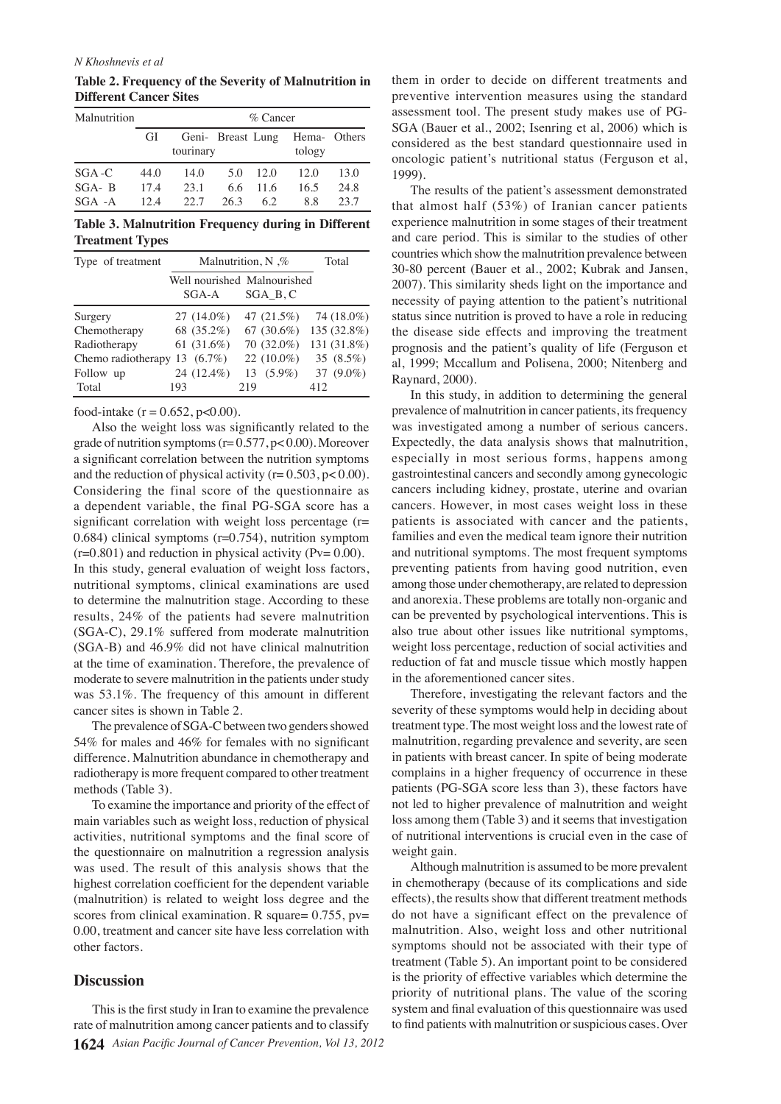#### *N Khoshnevis et al*

**Table 2. Frequency of the Severity of Malnutrition in Different Cancer Sites**

| Malnutrition | $%$ Cancer |           |      |      |                                          |      |
|--------------|------------|-----------|------|------|------------------------------------------|------|
|              | GI         | tourinary |      |      | Geni- Breast Lung Hema- Others<br>tology |      |
| $SGA-C$      | 44.0       | 14.0      | 5.0  | 12.0 | 12.0                                     | 13.0 |
| $SGA - B$    | 17.4       | 23.1      | 6.6  | 11.6 | 16.5                                     | 24.8 |
| $SGA - A$    | 12.4       | 22.7      | 26.3 | 62   | 88                                       | 23.7 |

**Table 3. Malnutrition Frequency during in Different Treatment Types** 

| Type of treatment  | Malnutrition, N $\%$ | Total                                  |             |
|--------------------|----------------------|----------------------------------------|-------------|
|                    | SGA-A                | Well nourished Malnourished<br>SGA B.C |             |
| Surgery            | $27(14.0\%)$         | 47 (21.5%)                             | 74 (18.0%)  |
| Chemotherapy       | 68 (35.2%)           | 67 $(30.6\%)$                          | 135 (32.8%) |
| Radiotherapy       | 61 $(31.6\%)$        | 70 (32.0%)                             | 131 (31.8%) |
| Chemo radiotherapy | 13 $(6.7\%)$         | 22 (10.0%)                             | 35 (8.5%)   |
| Follow up          | 24 (12.4%)           | $13(5.9\%)$                            | 37 (9.0%)   |
| Total              | 193                  | 219                                    | 412         |

food-intake  $(r = 0.652, p < 0.00)$ .

Also the weight loss was significantly related to the grade of nutrition symptoms  $(r= 0.577, p< 0.00)$ . Moreover a significant correlation between the nutrition symptoms and the reduction of physical activity ( $r = 0.503$ ,  $p < 0.00$ ). Considering the final score of the questionnaire as a dependent variable, the final PG-SGA score has a significant correlation with weight loss percentage (r= 0.684) clinical symptoms (r=0.754), nutrition symptom  $(r=0.801)$  and reduction in physical activity (Pv= 0.00). In this study, general evaluation of weight loss factors, nutritional symptoms, clinical examinations are used to determine the malnutrition stage. According to these results, 24% of the patients had severe malnutrition (SGA-C), 29.1% suffered from moderate malnutrition (SGA-B) and 46.9% did not have clinical malnutrition at the time of examination. Therefore, the prevalence of moderate to severe malnutrition in the patients under study was 53.1%. The frequency of this amount in different cancer sites is shown in Table 2.

The prevalence of SGA-C between two genders showed 54% for males and 46% for females with no significant difference. Malnutrition abundance in chemotherapy and radiotherapy is more frequent compared to other treatment methods (Table 3).

the questionnaire on malnutrition a regression analysi**\$00.0** veight gain. To examine the importance and priority of the effect of main variables such as weight loss, reduction of physical activities, nutritional symptoms and the final score of was used. The result of this analysis shows that the highest correlation coefficient for the dependent variable (malnutrition) is related to weight loss degree and the 0.00, treatment and cancer site have less correlation with other factors.

### **Discussion**

**1624** *Asian Pacific Journal of Cancer Prevention, Vol 13, 2012* 25.0 This is the first study in Iran to examine the prevalence rate of malnutrition among cancer patients and to classify

them in order to decide on different treatments and preventive intervention measures using the standard assessment tool. The present study makes use of PG-SGA (Bauer et al., 2002; Isenring et al, 2006) which is considered as the best standard questionnaire used in oncologic patient's nutritional status (Ferguson et al, 1999).

The results of the patient's assessment demonstrated that almost half (53%) of Iranian cancer patients experience malnutrition in some stages of their treatment and care period. This is similar to the studies of other countries which show the malnutrition prevalence between 30-80 percent (Bauer et al., 2002; Kubrak and Jansen, 2007). This similarity sheds light on the importance and necessity of paying attention to the patient's nutritional status since nutrition is proved to have a role in reducing the disease side effects and improving the treatment prognosis and the patient's quality of life (Ferguson et al, 1999; Mccallum and Polisena, 2000; Nitenberg and Raynard, 2000).

In this study, in addition to determining the general prevalence of malnutrition in cancer patients, its frequency was investigated among a number of serious cancers. Expectedly, the data analysis shows that malnutrition, especially in most serious forms, happens among gastrointestinal cancers and secondly among gynecologic cancers including kidney, prostate, uterine and ovarian cancers. However, in most cases weight loss in these patients is associated with cancer and the patients, families and even the medical team ignore their nutrition and nutritional symptoms. The most frequent symptoms preventing patients from having good nutrition, even among those under chemotherapy, are related to depression and anorexia. These problems are totally non-organic and can be prevented by psychological interventions. This is also true about other issues like nutritional symptoms, weight loss percentage, reduction of social activities and reduction of fat and muscle tissue which mostly happen in the aforementioned cancer sites.

Therefore, investigating the relevant factors and the severity of these symptoms would help in deciding about treatment type. The most weight loss and the lowest rate of malnutrition, regarding prevalence and severity, are seen in patients with breast cancer. In spite of being moderate complains in a higher frequency of occurrence in these patients (PG-SGA score less than 3), these factors have not led to higher prevalence of malnutrition and weight loss among them (Table 3) and it seems that investigation of nutritional interventions is crucial even in the case of

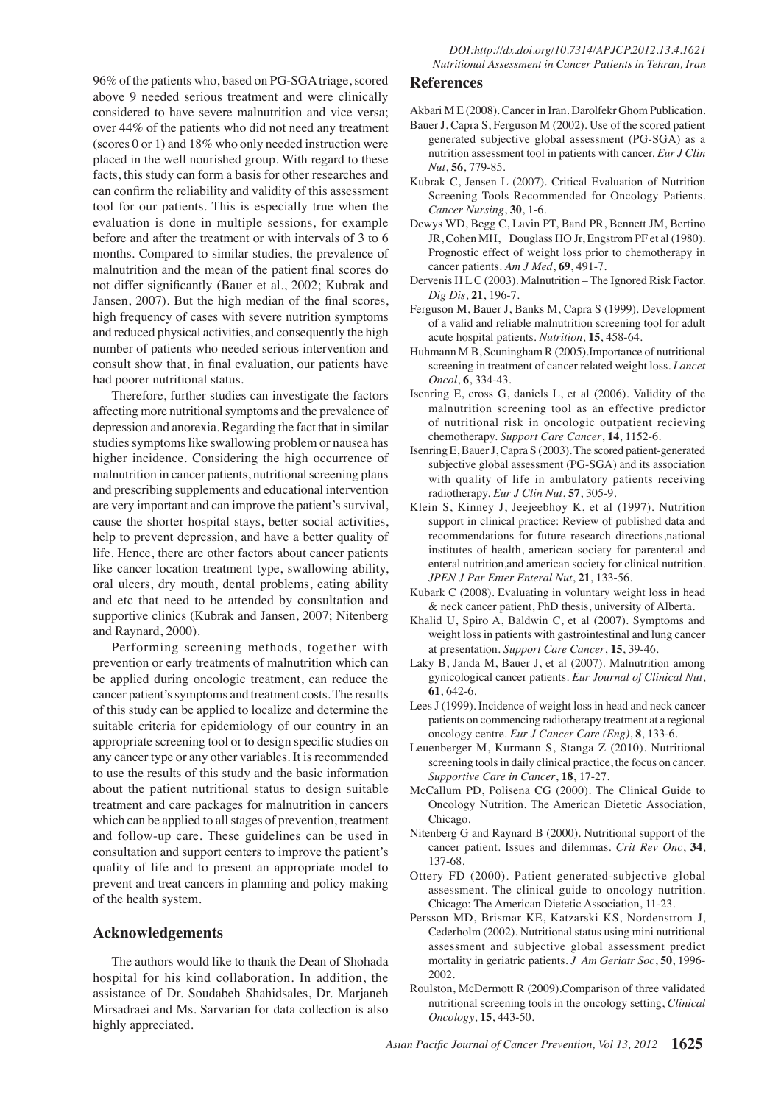96% of the patients who, based on PG-SGA triage, scored above 9 needed serious treatment and were clinically considered to have severe malnutrition and vice versa; over 44% of the patients who did not need any treatment (scores 0 or 1) and 18% who only needed instruction were placed in the well nourished group. With regard to these facts, this study can form a basis for other researches and can confirm the reliability and validity of this assessment tool for our patients. This is especially true when the evaluation is done in multiple sessions, for example before and after the treatment or with intervals of 3 to 6 months. Compared to similar studies, the prevalence of malnutrition and the mean of the patient final scores do not differ significantly (Bauer et al., 2002; Kubrak and Jansen, 2007). But the high median of the final scores, high frequency of cases with severe nutrition symptoms and reduced physical activities, and consequently the high number of patients who needed serious intervention and consult show that, in final evaluation, our patients have had poorer nutritional status.

Therefore, further studies can investigate the factors affecting more nutritional symptoms and the prevalence of depression and anorexia. Regarding the fact that in similar studies symptoms like swallowing problem or nausea has higher incidence. Considering the high occurrence of malnutrition in cancer patients, nutritional screening plans and prescribing supplements and educational intervention are very important and can improve the patient's survival, cause the shorter hospital stays, better social activities, help to prevent depression, and have a better quality of life. Hence, there are other factors about cancer patients like cancer location treatment type, swallowing ability, oral ulcers, dry mouth, dental problems, eating ability and etc that need to be attended by consultation and supportive clinics (Kubrak and Jansen, 2007; Nitenberg and Raynard, 2000).

Performing screening methods, together with prevention or early treatments of malnutrition which can be applied during oncologic treatment, can reduce the cancer patient's symptoms and treatment costs. The results of this study can be applied to localize and determine the suitable criteria for epidemiology of our country in an appropriate screening tool or to design specific studies on any cancer type or any other variables. It is recommended to use the results of this study and the basic information about the patient nutritional status to design suitable treatment and care packages for malnutrition in cancers which can be applied to all stages of prevention, treatment and follow-up care. These guidelines can be used in consultation and support centers to improve the patient's quality of life and to present an appropriate model to prevent and treat cancers in planning and policy making of the health system.

## **Acknowledgements**

The authors would like to thank the Dean of Shohada hospital for his kind collaboration. In addition, the assistance of Dr. Soudabeh Shahidsales, Dr. Marjaneh Mirsadraei and Ms. Sarvarian for data collection is also highly appreciated.

## **References**

Akbari M E (2008). Cancer in Iran. Darolfekr Ghom Publication.

- Bauer J, Capra S, Ferguson M (2002). Use of the scored patient generated subjective global assessment (PG-SGA) as a nutrition assessment tool in patients with cancer. *Eur J Clin Nut*, **56**, 779-85.
- Kubrak C, Jensen L (2007). Critical Evaluation of Nutrition Screening Tools Recommended for Oncology Patients. *Cancer Nursing*, **30**, 1-6.
- Dewys WD, Begg C, Lavin PT, Band PR, Bennett JM, Bertino JR, Cohen MH, Douglass HO Jr, Engstrom PF et al (1980). Prognostic effect of weight loss prior to chemotherapy in cancer patients. *Am J Med*, **69**, 491-7.
- Dervenis H L C (2003). Malnutrition The Ignored Risk Factor. *Dig Dis*, **21**, 196-7.
- Ferguson M, Bauer J, Banks M, Capra S (1999). Development of a valid and reliable malnutrition screening tool for adult acute hospital patients. *Nutrition*, **15**, 458-64.
- Huhmann M B, Scuningham R (2005).Importance of nutritional screening in treatment of cancer related weight loss. *Lancet Oncol*, **6**, 334-43.
- Isenring E, cross G, daniels L, et al (2006). Validity of the malnutrition screening tool as an effective predictor of nutritional risk in oncologic outpatient recieving chemotherapy. *Support Care Cancer*, **14**, 1152-6.
- Isenring E, Bauer J, Capra S (2003). The scored patient-generated subjective global assessment (PG-SGA) and its association with quality of life in ambulatory patients receiving radiotherapy. *Eur J Clin Nut*, **57**, 305-9.
- Klein S, Kinney J, Jeejeebhoy K, et al (1997). Nutrition support in clinical practice: Review of published data and recommendations for future research directions,national institutes of health, american society for parenteral and enteral nutrition,and american society for clinical nutrition. *JPEN J Par Enter Enteral Nut*, **21**, 133-56.
- Kubark C (2008). Evaluating in voluntary weight loss in head & neck cancer patient, PhD thesis, university of Alberta.
- Khalid U, Spiro A, Baldwin C, et al (2007). Symptoms and weight loss in patients with gastrointestinal and lung cancer at presentation. *Support Care Cancer*, **15**, 39-46.
- Laky B, Janda M, Bauer J, et al (2007). Malnutrition among gynicological cancer patients. *Eur Journal of Clinical Nut*, **61**, 642-6.
- Lees J (1999). Incidence of weight loss in head and neck cancer patients on commencing radiotherapy treatment at a regional oncology centre. *Eur J Cancer Care (Eng)*, **8**, 133-6.
- Leuenberger M, Kurmann S, Stanga Z (2010). Nutritional screening tools in daily clinical practice, the focus on cancer. *Supportive Care in Cancer*, **18**, 17-27.
- McCallum PD, Polisena CG (2000). The Clinical Guide to Oncology Nutrition. The American Dietetic Association, Chicago.
- Nitenberg G and Raynard B (2000). Nutritional support of the cancer patient. Issues and dilemmas. *Crit Rev Onc*, **34**, 137-68.
- Ottery FD (2000). Patient generated-subjective global assessment. The clinical guide to oncology nutrition. Chicago: The American Dietetic Association, 11-23.
- Persson MD, Brismar KE, Katzarski KS, Nordenstrom J, Cederholm (2002). Nutritional status using mini nutritional assessment and subjective global assessment predict mortality in geriatric patients. *J Am Geriatr Soc*, **50**, 1996- 2002.
- Roulston, McDermott R (2009).Comparison of three validated nutritional screening tools in the oncology setting, *Clinical Oncology*, **15**, 443-50.